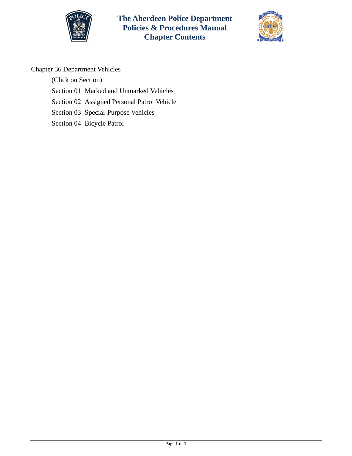



# Chapter 36 Department Vehicles

(Click on Section) [Section 01 Marked and Unmarked Vehicles](#page-1-0) [Section 02 Assigned Personal Patrol Vehicle](#page-5-0)  [Section 03 Special-Purpose Vehicles](#page-12-0) [Section 04 Bicycle Patrol](#page-14-0)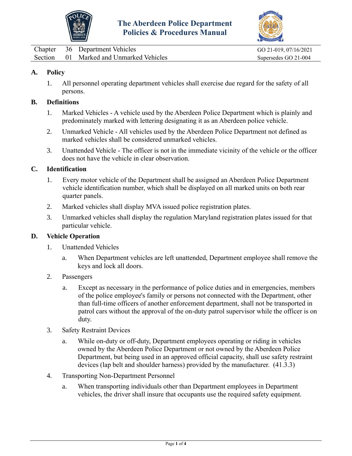



<span id="page-1-0"></span>Chapter 36 Department Vehicles GO 21-019, 07/16/2021 Section 01 Marked and Unmarked Vehicles Supersedes GO 21-004

## **A. Policy**

1. All personnel operating department vehicles shall exercise due regard for the safety of all persons.

#### **B. Definitions**

- 1. Marked Vehicles A vehicle used by the Aberdeen Police Department which is plainly and predominately marked with lettering designating it as an Aberdeen police vehicle.
- 2. Unmarked Vehicle All vehicles used by the Aberdeen Police Department not defined as marked vehicles shall be considered unmarked vehicles.
- 3. Unattended Vehicle The officer is not in the immediate vicinity of the vehicle or the officer does not have the vehicle in clear observation.

### **C. Identification**

- 1. Every motor vehicle of the Department shall be assigned an Aberdeen Police Department vehicle identification number, which shall be displayed on all marked units on both rear quarter panels.
- 2. Marked vehicles shall display MVA issued police registration plates.
- 3. Unmarked vehicles shall display the regulation Maryland registration plates issued for that particular vehicle.

#### **D. Vehicle Operation**

- 1. Unattended Vehicles
	- a. When Department vehicles are left unattended, Department employee shall remove the keys and lock all doors.
- 2. Passengers
	- a. Except as necessary in the performance of police duties and in emergencies, members of the police employee's family or persons not connected with the Department, other than full-time officers of another enforcement department, shall not be transported in patrol cars without the approval of the on-duty patrol supervisor while the officer is on duty.
- 3. Safety Restraint Devices
	- a. While on-duty or off-duty, Department employees operating or riding in vehicles owned by the Aberdeen Police Department or not owned by the Aberdeen Police Department, but being used in an approved official capacity, shall use safety restraint devices (lap belt and shoulder harness) provided by the manufacturer. (41.3.3)
- 4. Transporting Non-Department Personnel
	- a. When transporting individuals other than Department employees in Department vehicles, the driver shall insure that occupants use the required safety equipment.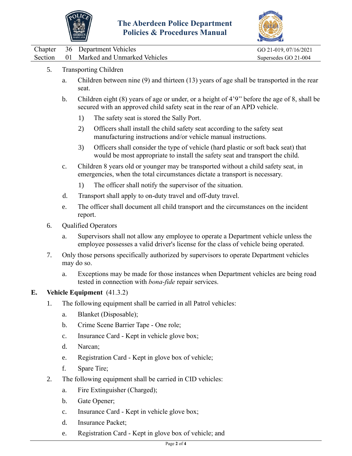



|  | Chapter 36 Department Vehicles          | GO 21-019, 07/16/2021 |
|--|-----------------------------------------|-----------------------|
|  | Section 01 Marked and Unmarked Vehicles | Supersedes GO 21-004  |
|  |                                         |                       |

- 5. Transporting Children
	- a. Children between nine (9) and thirteen (13) years of age shall be transported in the rear seat.
	- b. Children eight (8) years of age or under, or a height of 4'9'' before the age of 8, shall be secured with an approved child safety seat in the rear of an APD vehicle.
		- 1) The safety seat is stored the Sally Port.
		- 2) Officers shall install the child safety seat according to the safety seat manufacturing instructions and/or vehicle manual instructions.
		- 3) Officers shall consider the type of vehicle (hard plastic or soft back seat) that would be most appropriate to install the safety seat and transport the child.
	- c. Children 8 years old or younger may be transported without a child safety seat, in emergencies, when the total circumstances dictate a transport is necessary.
		- 1) The officer shall notify the supervisor of the situation.
	- d. Transport shall apply to on-duty travel and off-duty travel.
	- e. The officer shall document all child transport and the circumstances on the incident report.
- 6. Qualified Operators
	- a. Supervisors shall not allow any employee to operate a Department vehicle unless the employee possesses a valid driver's license for the class of vehicle being operated.
- 7. Only those persons specifically authorized by supervisors to operate Department vehicles may do so.
	- a. Exceptions may be made for those instances when Department vehicles are being road tested in connection with *bona-fide* repair services.

## **E. Vehicle Equipment** (41.3.2)

- 1. The following equipment shall be carried in all Patrol vehicles:
	- a. Blanket (Disposable);
	- b. Crime Scene Barrier Tape One role;
	- c. Insurance Card Kept in vehicle glove box;
	- d. Narcan;
	- e. Registration Card Kept in glove box of vehicle;
	- f. Spare Tire;
- 2. The following equipment shall be carried in CID vehicles:
	- a. Fire Extinguisher (Charged);
	- b. Gate Opener;
	- c. Insurance Card Kept in vehicle glove box;
	- d. Insurance Packet;
	- e. Registration Card Kept in glove box of vehicle; and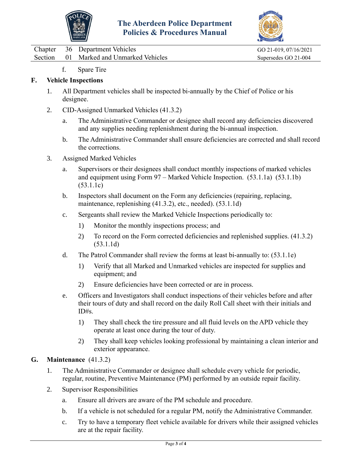



Chapter 36 Department Vehicles GO 21-019, 07/16/2021 Section 01 Marked and Unmarked Vehicles Supersedes GO 21-004

f. Spare Tire

### **F. Vehicle Inspections**

- 1. All Department vehicles shall be inspected bi-annually by the Chief of Police or his designee.
- 2. CID-Assigned Unmarked Vehicles (41.3.2)
	- a. The Administrative Commander or designee shall record any deficiencies discovered and any supplies needing replenishment during the bi-annual inspection.
	- b. The Administrative Commander shall ensure deficiencies are corrected and shall record the corrections.
- 3. Assigned Marked Vehicles
	- a. Supervisors or their designees shall conduct monthly inspections of marked vehicles and equipment using Form 97 – Marked Vehicle Inspection. (53.1.1a) (53.1.1b) (53.1.1c)
	- b. Inspectors shall document on the Form any deficiencies (repairing, replacing, maintenance, replenishing (41.3.2), etc., needed). (53.1.1d)
	- c. Sergeants shall review the Marked Vehicle Inspections periodically to:
		- 1) Monitor the monthly inspections process; and
		- 2) To record on the Form corrected deficiencies and replenished supplies. (41.3.2) (53.1.1d)
	- d. The Patrol Commander shall review the forms at least bi-annually to: (53.1.1e)
		- 1) Verify that all Marked and Unmarked vehicles are inspected for supplies and equipment; and
		- 2) Ensure deficiencies have been corrected or are in process.
	- e. Officers and Investigators shall conduct inspections of their vehicles before and after their tours of duty and shall record on the daily Roll Call sheet with their initials and ID#s.
		- 1) They shall check the tire pressure and all fluid levels on the APD vehicle they operate at least once during the tour of duty.
		- 2) They shall keep vehicles looking professional by maintaining a clean interior and exterior appearance.

## **G. Maintenance** (41.3.2)

- 1. The Administrative Commander or designee shall schedule every vehicle for periodic, regular, routine, Preventive Maintenance (PM) performed by an outside repair facility.
- 2. Supervisor Responsibilities
	- a. Ensure all drivers are aware of the PM schedule and procedure.
	- b. If a vehicle is not scheduled for a regular PM, notify the Administrative Commander.
	- c. Try to have a temporary fleet vehicle available for drivers while their assigned vehicles are at the repair facility.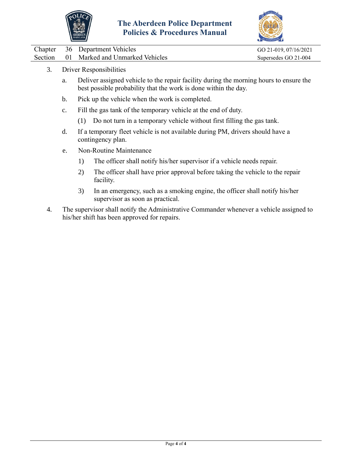



| Chapter 36 Department Vehicles          | GO 21-019, 07/16/2021 |
|-----------------------------------------|-----------------------|
| Section 01 Marked and Unmarked Vehicles | Supersedes GO 21-004  |

- 3. Driver Responsibilities
	- a. Deliver assigned vehicle to the repair facility during the morning hours to ensure the best possible probability that the work is done within the day.
	- b. Pick up the vehicle when the work is completed.
	- c. Fill the gas tank of the temporary vehicle at the end of duty.
		- (1) Do not turn in a temporary vehicle without first filling the gas tank.
	- d. If a temporary fleet vehicle is not available during PM, drivers should have a contingency plan.
	- e. Non-Routine Maintenance
		- 1) The officer shall notify his/her supervisor if a vehicle needs repair.
		- 2) The officer shall have prior approval before taking the vehicle to the repair facility.
		- 3) In an emergency, such as a smoking engine, the officer shall notify his/her supervisor as soon as practical.
- 4. The supervisor shall notify the Administrative Commander whenever a vehicle assigned to his/her shift has been approved for repairs.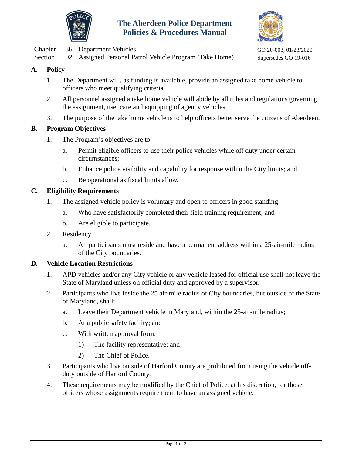



<span id="page-5-0"></span>

|  | Chapter 36 Department Vehicles                                  | GO 20-003, 01/23/2020 |
|--|-----------------------------------------------------------------|-----------------------|
|  | Section 02 Assigned Personal Patrol Vehicle Program (Take Home) | Supersedes GO 19-016  |

## **A. Policy**

- 1. The Department will, as funding is available, provide an assigned take home vehicle to officers who meet qualifying criteria.
- 2. All personnel assigned a take home vehicle will abide by all rules and regulations governing the assignment, use, care and equipping of agency vehicles.
- 3. The purpose of the take home vehicle is to help officers better serve the citizens of Aberdeen.

### **B. Program Objectives**

- 1. The Program's objectives are to:
	- a. Permit eligible officers to use their police vehicles while off duty under certain circumstances;
	- b. Enhance police visibility and capability for response within the City limits; and
	- c. Be operational as fiscal limits allow.

### **C. Eligibility Requirements**

- 1. The assigned vehicle policy is voluntary and open to officers in good standing:
	- a. Who have satisfactorily completed their field training requirement; and
	- b. Are eligible to participate.
- 2. Residency
	- a. All participants must reside and have a permanent address within a 25-air-mile radius of the City boundaries.

### **D. Vehicle Location Restrictions**

- 1. APD vehicles and/or any City vehicle or any vehicle leased for official use shall not leave the State of Maryland unless on official duty and approved by a supervisor.
- 2. Participants who live inside the 25 air-mile radius of City boundaries, but outside of the State of Maryland, shall:
	- a. Leave their Department vehicle in Maryland, within the 25-air-mile radius;
	- b. At a public safety facility; and
	- c. With written approval from:
		- 1) The facility representative; and
		- 2) The Chief of Police.
- 3. Participants who live outside of Harford County are prohibited from using the vehicle offduty outside of Harford County.
- 4. These requirements may be modified by the Chief of Police, at his discretion, for those officers whose assignments require them to have an assigned vehicle.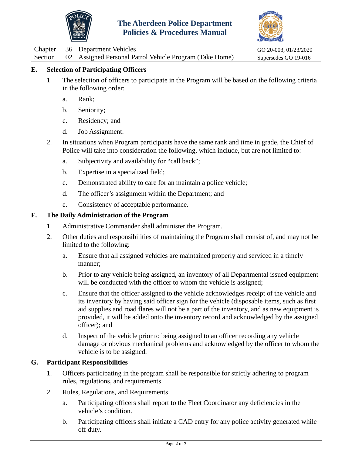



Chapter 36 Department Vehicles GO 20-003, 01/23/2020

Section 02 Assigned Personal Patrol Vehicle Program (Take Home) Supersedes GO 19-016

## **E. Selection of Participating Officers**

- 1. The selection of officers to participate in the Program will be based on the following criteria in the following order:
	- a. Rank;
	- b. Seniority;
	- c. Residency; and
	- d. Job Assignment.
- 2. In situations when Program participants have the same rank and time in grade, the Chief of Police will take into consideration the following, which include, but are not limited to:
	- a. Subjectivity and availability for "call back";
	- b. Expertise in a specialized field;
	- c. Demonstrated ability to care for an maintain a police vehicle;
	- d. The officer's assignment within the Department; and
	- e. Consistency of acceptable performance.

### **F. The Daily Administration of the Program**

- 1. Administrative Commander shall administer the Program.
- 2. Other duties and responsibilities of maintaining the Program shall consist of, and may not be limited to the following:
	- a. Ensure that all assigned vehicles are maintained properly and serviced in a timely manner;
	- b. Prior to any vehicle being assigned, an inventory of all Departmental issued equipment will be conducted with the officer to whom the vehicle is assigned;
	- c. Ensure that the officer assigned to the vehicle acknowledges receipt of the vehicle and its inventory by having said officer sign for the vehicle (disposable items, such as first aid supplies and road flares will not be a part of the inventory, and as new equipment is provided, it will be added onto the inventory record and acknowledged by the assigned officer); and
	- d. Inspect of the vehicle prior to being assigned to an officer recording any vehicle damage or obvious mechanical problems and acknowledged by the officer to whom the vehicle is to be assigned.

## **G. Participant Responsibilities**

- 1. Officers participating in the program shall be responsible for strictly adhering to program rules, regulations, and requirements.
- 2. Rules, Regulations, and Requirements
	- a. Participating officers shall report to the Fleet Coordinator any deficiencies in the vehicle's condition.
	- b. Participating officers shall initiate a CAD entry for any police activity generated while off duty.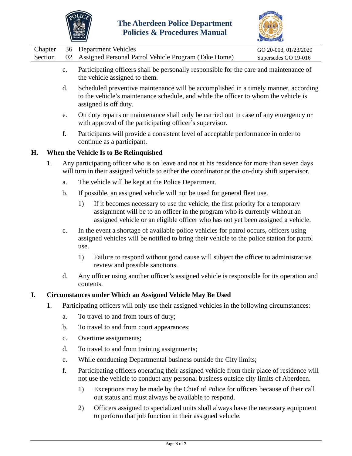



|  | Chapter 36 Department Vehicles                                  | GO 20-003, 01/23/2020 |
|--|-----------------------------------------------------------------|-----------------------|
|  | Section 02 Assigned Personal Patrol Vehicle Program (Take Home) | Supersedes GO 19-016  |
|  |                                                                 |                       |

- c. Participating officers shall be personally responsible for the care and maintenance of the vehicle assigned to them.
- d. Scheduled preventive maintenance will be accomplished in a timely manner, according to the vehicle's maintenance schedule, and while the officer to whom the vehicle is assigned is off duty.
- e. On duty repairs or maintenance shall only be carried out in case of any emergency or with approval of the participating officer's supervisor.
- f. Participants will provide a consistent level of acceptable performance in order to continue as a participant.

### **H. When the Vehicle Is to Be Relinquished**

- 1. Any participating officer who is on leave and not at his residence for more than seven days will turn in their assigned vehicle to either the coordinator or the on-duty shift supervisor.
	- a. The vehicle will be kept at the Police Department.
	- b. If possible, an assigned vehicle will not be used for general fleet use.
		- 1) If it becomes necessary to use the vehicle, the first priority for a temporary assignment will be to an officer in the program who is currently without an assigned vehicle or an eligible officer who has not yet been assigned a vehicle.
	- c. In the event a shortage of available police vehicles for patrol occurs, officers using assigned vehicles will be notified to bring their vehicle to the police station for patrol use.
		- 1) Failure to respond without good cause will subject the officer to administrative review and possible sanctions.
	- d. Any officer using another officer's assigned vehicle is responsible for its operation and contents.

### **I. Circumstances under Which an Assigned Vehicle May Be Used**

- 1. Participating officers will only use their assigned vehicles in the following circumstances:
	- a. To travel to and from tours of duty;
	- b. To travel to and from court appearances;
	- c. Overtime assignments;
	- d. To travel to and from training assignments;
	- e. While conducting Departmental business outside the City limits;
	- f. Participating officers operating their assigned vehicle from their place of residence will not use the vehicle to conduct any personal business outside city limits of Aberdeen.
		- 1) Exceptions may be made by the Chief of Police for officers because of their call out status and must always be available to respond.
		- 2) Officers assigned to specialized units shall always have the necessary equipment to perform that job function in their assigned vehicle.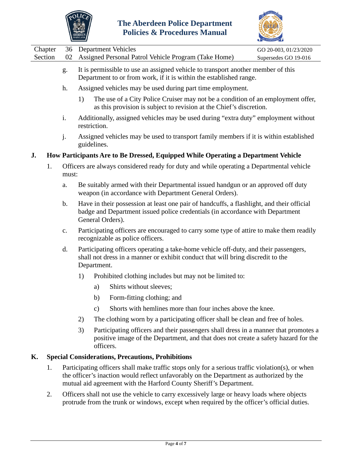



| Section 02 Assigned Personal Patrol Vehicle Program (Take Home)<br>Supersedes GO 19-016 |  | Chapter 36 Department Vehicles | GO 20-003, 01/23/2020 |
|-----------------------------------------------------------------------------------------|--|--------------------------------|-----------------------|
|                                                                                         |  |                                |                       |

- g. It is permissible to use an assigned vehicle to transport another member of this Department to or from work, if it is within the established range.
- h. Assigned vehicles may be used during part time employment.
	- 1) The use of a City Police Cruiser may not be a condition of an employment offer, as this provision is subject to revision at the Chief's discretion.
- i. Additionally, assigned vehicles may be used during "extra duty" employment without restriction.
- j. Assigned vehicles may be used to transport family members if it is within established guidelines.

### **J. How Participants Are to Be Dressed, Equipped While Operating a Department Vehicle**

- 1. Officers are always considered ready for duty and while operating a Departmental vehicle must:
	- a. Be suitably armed with their Departmental issued handgun or an approved off duty weapon (in accordance with Department General Orders).
	- b. Have in their possession at least one pair of handcuffs, a flashlight, and their official badge and Department issued police credentials (in accordance with Department General Orders).
	- c. Participating officers are encouraged to carry some type of attire to make them readily recognizable as police officers.
	- d. Participating officers operating a take-home vehicle off-duty, and their passengers, shall not dress in a manner or exhibit conduct that will bring discredit to the Department.
		- 1) Prohibited clothing includes but may not be limited to:
			- a) Shirts without sleeves;
			- b) Form-fitting clothing; and
			- c) Shorts with hemlines more than four inches above the knee.
		- 2) The clothing worn by a participating officer shall be clean and free of holes.
		- 3) Participating officers and their passengers shall dress in a manner that promotes a positive image of the Department, and that does not create a safety hazard for the officers.

### **K. Special Considerations, Precautions, Prohibitions**

- 1. Participating officers shall make traffic stops only for a serious traffic violation(s), or when the officer's inaction would reflect unfavorably on the Department as authorized by the mutual aid agreement with the Harford County Sheriff's Department.
- 2. Officers shall not use the vehicle to carry excessively large or heavy loads where objects protrude from the trunk or windows, except when required by the officer's official duties.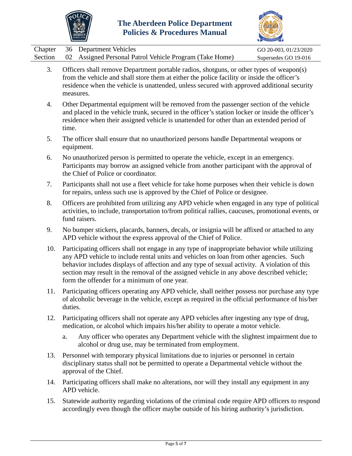



|  | Chapter 36 Department Vehicles                                  | GO 20-003, 01/23/2020 |
|--|-----------------------------------------------------------------|-----------------------|
|  | Section 02 Assigned Personal Patrol Vehicle Program (Take Home) | Supersedes GO 19-016  |

- 3. Officers shall remove Department portable radios, shotguns, or other types of weapon(s) from the vehicle and shall store them at either the police facility or inside the officer's residence when the vehicle is unattended, unless secured with approved additional security measures.
- 4. Other Departmental equipment will be removed from the passenger section of the vehicle and placed in the vehicle trunk, secured in the officer's station locker or inside the officer's residence when their assigned vehicle is unattended for other than an extended period of time.
- 5. The officer shall ensure that no unauthorized persons handle Departmental weapons or equipment.
- 6. No unauthorized person is permitted to operate the vehicle, except in an emergency. Participants may borrow an assigned vehicle from another participant with the approval of the Chief of Police or coordinator.
- 7. Participants shall not use a fleet vehicle for take home purposes when their vehicle is down for repairs, unless such use is approved by the Chief of Police or designee.
- 8. Officers are prohibited from utilizing any APD vehicle when engaged in any type of political activities, to include, transportation to/from political rallies, caucuses, promotional events, or fund raisers.
- 9. No bumper stickers, placards, banners, decals, or insignia will be affixed or attached to any APD vehicle without the express approval of the Chief of Police.
- 10. Participating officers shall not engage in any type of inappropriate behavior while utilizing any APD vehicle to include rental units and vehicles on loan from other agencies. Such behavior includes displays of affection and any type of sexual activity. A violation of this section may result in the removal of the assigned vehicle in any above described vehicle; form the offender for a minimum of one year.
- 11. Participating officers operating any APD vehicle, shall neither possess nor purchase any type of alcoholic beverage in the vehicle, except as required in the official performance of his/her duties.
- 12. Participating officers shall not operate any APD vehicles after ingesting any type of drug, medication, or alcohol which impairs his/her ability to operate a motor vehicle.
	- a. Any officer who operates any Department vehicle with the slightest impairment due to alcohol or drug use, may be terminated from employment.
- 13. Personnel with temporary physical limitations due to injuries or personnel in certain disciplinary status shall not be permitted to operate a Departmental vehicle without the approval of the Chief.
- 14. Participating officers shall make no alterations, nor will they install any equipment in any APD vehicle.
- 15. Statewide authority regarding violations of the criminal code require APD officers to respond accordingly even though the officer maybe outside of his hiring authority's jurisdiction.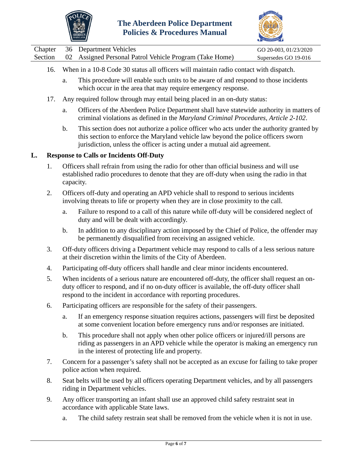



|  | Chapter 36 Department Vehicles                                  | GO 20-003, 01/23/2020 |
|--|-----------------------------------------------------------------|-----------------------|
|  | Section 02 Assigned Personal Patrol Vehicle Program (Take Home) | Supersedes GO 19-016  |

- 16. When in a 10-8 Code 30 status all officers will maintain radio contact with dispatch.
	- a. This procedure will enable such units to be aware of and respond to those incidents which occur in the area that may require emergency response.
- 17. Any required follow through may entail being placed in an on-duty status:
	- a. Officers of the Aberdeen Police Department shall have statewide authority in matters of criminal violations as defined in the *Maryland Criminal Procedures, Article 2-102*.
	- b. This section does not authorize a police officer who acts under the authority granted by this section to enforce the Maryland vehicle law beyond the police officers sworn jurisdiction, unless the officer is acting under a mutual aid agreement.

### **L. Response to Calls or Incidents Off-Duty**

- 1. Officers shall refrain from using the radio for other than official business and will use established radio procedures to denote that they are off-duty when using the radio in that capacity.
- 2. Officers off-duty and operating an APD vehicle shall to respond to serious incidents involving threats to life or property when they are in close proximity to the call.
	- a. Failure to respond to a call of this nature while off-duty will be considered neglect of duty and will be dealt with accordingly.
	- b. In addition to any disciplinary action imposed by the Chief of Police, the offender may be permanently disqualified from receiving an assigned vehicle.
- 3. Off-duty officers driving a Department vehicle may respond to calls of a less serious nature at their discretion within the limits of the City of Aberdeen.
- 4. Participating off-duty officers shall handle and clear minor incidents encountered.
- 5. When incidents of a serious nature are encountered off-duty, the officer shall request an onduty officer to respond, and if no on-duty officer is available, the off-duty officer shall respond to the incident in accordance with reporting procedures.
- 6. Participating officers are responsible for the safety of their passengers.
	- a. If an emergency response situation requires actions, passengers will first be deposited at some convenient location before emergency runs and/or responses are initiated.
	- b. This procedure shall not apply when other police officers or injured/ill persons are riding as passengers in an APD vehicle while the operator is making an emergency run in the interest of protecting life and property.
- 7. Concern for a passenger's safety shall not be accepted as an excuse for failing to take proper police action when required.
- 8. Seat belts will be used by all officers operating Department vehicles, and by all passengers riding in Department vehicles.
- 9. Any officer transporting an infant shall use an approved child safety restraint seat in accordance with applicable State laws.
	- a. The child safety restrain seat shall be removed from the vehicle when it is not in use.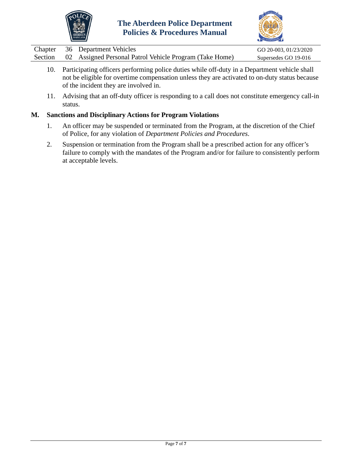



|  | Chapter 36 Department Vehicles                                  | GO 20-003, 01/23/2020 |
|--|-----------------------------------------------------------------|-----------------------|
|  | Section 02 Assigned Personal Patrol Vehicle Program (Take Home) | Supersedes GO 19-016  |

- 10. Participating officers performing police duties while off-duty in a Department vehicle shall not be eligible for overtime compensation unless they are activated to on-duty status because of the incident they are involved in.
- 11. Advising that an off-duty officer is responding to a call does not constitute emergency call-in status.

### **M. Sanctions and Disciplinary Actions for Program Violations**

- 1. An officer may be suspended or terminated from the Program, at the discretion of the Chief of Police, for any violation of *Department Policies and Procedures*.
- 2. Suspension or termination from the Program shall be a prescribed action for any officer's failure to comply with the mandates of the Program and/or for failure to consistently perform at acceptable levels.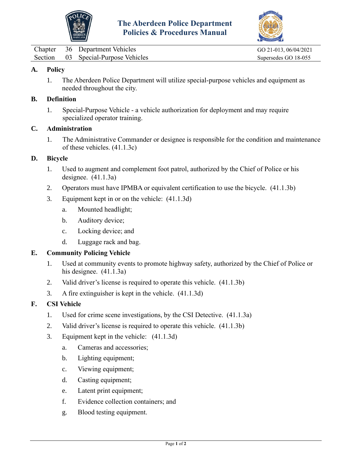



<span id="page-12-0"></span>

|  | Chapter 36 Department Vehicles      |
|--|-------------------------------------|
|  | Section 03 Special-Purpose Vehicles |

GO 21-013, 06/04/2021 Supersedes GO 18-055

### **A. Policy**

1. The Aberdeen Police Department will utilize special-purpose vehicles and equipment as needed throughout the city.

#### **B. Definition**

1. Special-Purpose Vehicle - a vehicle authorization for deployment and may require specialized operator training.

## **C. Administration**

1. The Administrative Commander or designee is responsible for the condition and maintenance of these vehicles. (41.1.3c)

#### **D. Bicycle**

- 1. Used to augment and complement foot patrol, authorized by the Chief of Police or his designee. (41.1.3a)
- 2. Operators must have IPMBA or equivalent certification to use the bicycle. (41.1.3b)
- 3. Equipment kept in or on the vehicle: (41.1.3d)
	- a. Mounted headlight;
	- b. Auditory device;
	- c. Locking device; and
	- d. Luggage rack and bag.

### **E. Community Policing Vehicle**

- 1. Used at community events to promote highway safety, authorized by the Chief of Police or his designee. (41.1.3a)
- 2. Valid driver's license is required to operate this vehicle. (41.1.3b)
- 3. A fire extinguisher is kept in the vehicle. (41.1.3d)

### **F. CSI Vehicle**

- 1. Used for crime scene investigations, by the CSI Detective. (41.1.3a)
- 2. Valid driver's license is required to operate this vehicle. (41.1.3b)
- 3. Equipment kept in the vehicle: (41.1.3d)
	- a. Cameras and accessories;
	- b. Lighting equipment;
	- c. Viewing equipment;
	- d. Casting equipment;
	- e. Latent print equipment;
	- f. Evidence collection containers; and
	- g. Blood testing equipment.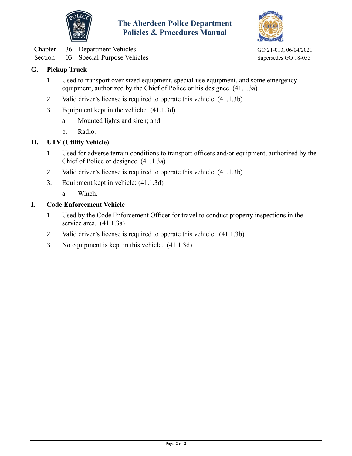



Chapter 36 Department Vehicles GO 21-013, 06/04/2021 Section 03 Special-Purpose Vehicles Supersedes GO 18-055

## **G. Pickup Truck**

- 1. Used to transport over-sized equipment, special-use equipment, and some emergency equipment, authorized by the Chief of Police or his designee. (41.1.3a)
- 2. Valid driver's license is required to operate this vehicle. (41.1.3b)
- 3. Equipment kept in the vehicle: (41.1.3d)
	- a. Mounted lights and siren; and
	- b. Radio.

### **H. UTV (Utility Vehicle)**

- 1. Used for adverse terrain conditions to transport officers and/or equipment, authorized by the Chief of Police or designee. (41.1.3a)
- 2. Valid driver's license is required to operate this vehicle. (41.1.3b)
- 3. Equipment kept in vehicle: (41.1.3d)
	- a. Winch.

### **I. Code Enforcement Vehicle**

- 1. Used by the Code Enforcement Officer for travel to conduct property inspections in the service area. (41.1.3a)
- 2. Valid driver's license is required to operate this vehicle. (41.1.3b)
- 3. No equipment is kept in this vehicle. (41.1.3d)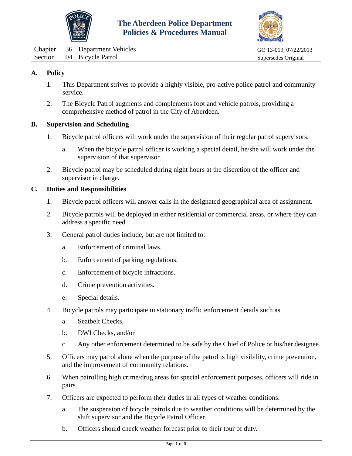



<span id="page-14-0"></span>Chapter 36 Department Vehicles GO 13-019, 07/22/2013 Section 04 Bicycle Patrol Supersedes Original

## **A. Policy**

- 1. This Department strives to provide a highly visible, pro-active police patrol and community service.
- 2. The Bicycle Patrol augments and complements foot and vehicle patrols, providing a comprehensive method of patrol in the City of Aberdeen.

### **B. Supervision and Scheduling**

- 1. Bicycle patrol officers will work under the supervision of their regular patrol supervisors.
	- a. When the bicycle patrol officer is working a special detail, he/she will work under the supervision of that supervisor.
- 2. Bicycle patrol may be scheduled during night hours at the discretion of the officer and supervisor in charge.

### **C. Duties and Responsibilities**

- 1. Bicycle patrol officers will answer calls in the designated geographical area of assignment.
- 2. Bicycle patrols will be deployed in either residential or commercial areas, or where they can address a specific need.
- 3. General patrol duties include, but are not limited to:
	- a. Enforcement of criminal laws.
	- b. Enforcement of parking regulations.
	- c. Enforcement of bicycle infractions.
	- d. Crime prevention activities.
	- e. Special details.
- 4. Bicycle patrols may participate in stationary traffic enforcement details such as
	- a. Seatbelt Checks,
	- b. DWI Checks, and/or
	- c. Any other enforcement determined to be safe by the Chief of Police or his/her designee.
- 5. Officers may patrol alone when the purpose of the patrol is high visibility, crime prevention, and the improvement of community relations.
- 6. When patrolling high crime/drug areas for special enforcement purposes, officers will ride in pairs.
- 7. Officers are expected to perform their duties in all types of weather conditions.
	- a. The suspension of bicycle patrols due to weather conditions will be determined by the shift supervisor and the Bicycle Patrol Officer.
	- b. Officers should check weather forecast prior to their tour of duty.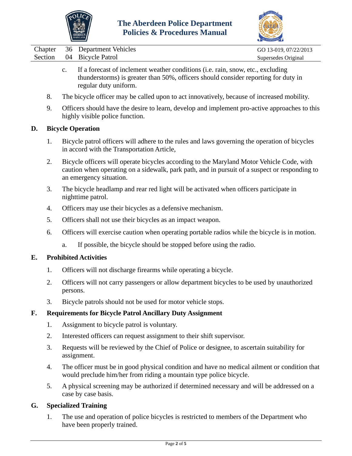



| Chapter 36 Department Vehicles | GO 13-019, 07/22/2013 |
|--------------------------------|-----------------------|
| Section 04 Bicycle Patrol      | Supersedes Original   |

- c. If a forecast of inclement weather conditions (i.e. rain, snow, etc., excluding thunderstorms) is greater than 50%, officers should consider reporting for duty in regular duty uniform.
- 8. The bicycle officer may be called upon to act innovatively, because of increased mobility.
- 9. Officers should have the desire to learn, develop and implement pro-active approaches to this highly visible police function.

### **D. Bicycle Operation**

- 1. Bicycle patrol officers will adhere to the rules and laws governing the operation of bicycles in accord with the Transportation Article,
- 2. Bicycle officers will operate bicycles according to the Maryland Motor Vehicle Code, with caution when operating on a sidewalk, park path, and in pursuit of a suspect or responding to an emergency situation.
- 3. The bicycle headlamp and rear red light will be activated when officers participate in nighttime patrol.
- 4. Officers may use their bicycles as a defensive mechanism.
- 5. Officers shall not use their bicycles as an impact weapon.
- 6. Officers will exercise caution when operating portable radios while the bicycle is in motion.
	- a. If possible, the bicycle should be stopped before using the radio.

### **E. Prohibited Activities**

- 1. Officers will not discharge firearms while operating a bicycle.
- 2. Officers will not carry passengers or allow department bicycles to be used by unauthorized persons.
- 3. Bicycle patrols should not be used for motor vehicle stops.

## **F. Requirements for Bicycle Patrol Ancillary Duty Assignment**

- 1. Assignment to bicycle patrol is voluntary.
- 2. Interested officers can request assignment to their shift supervisor.
- 3. Requests will be reviewed by the Chief of Police or designee, to ascertain suitability for assignment.
- 4. The officer must be in good physical condition and have no medical ailment or condition that would preclude him/her from riding a mountain type police bicycle.
- 5. A physical screening may be authorized if determined necessary and will be addressed on a case by case basis.

### **G. Specialized Training**

1. The use and operation of police bicycles is restricted to members of the Department who have been properly trained.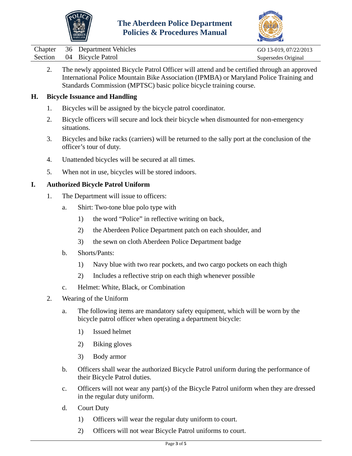



|  | Chapter 36 Department Vehicles | GO 13-019, 07/22/2013 |
|--|--------------------------------|-----------------------|
|  | Section 04 Bicycle Patrol      | Supersedes Original   |

2. The newly appointed Bicycle Patrol Officer will attend and be certified through an approved International Police Mountain Bike Association (IPMBA) or Maryland Police Training and Standards Commission (MPTSC) basic police bicycle training course.

### **H. Bicycle Issuance and Handling**

- 1. Bicycles will be assigned by the bicycle patrol coordinator.
- 2. Bicycle officers will secure and lock their bicycle when dismounted for non-emergency situations.
- 3. Bicycles and bike racks (carriers) will be returned to the sally port at the conclusion of the officer's tour of duty.
- 4. Unattended bicycles will be secured at all times.
- 5. When not in use, bicycles will be stored indoors.

### **I. Authorized Bicycle Patrol Uniform**

- 1. The Department will issue to officers:
	- a. Shirt: Two-tone blue polo type with
		- 1) the word "Police" in reflective writing on back,
		- 2) the Aberdeen Police Department patch on each shoulder, and
		- 3) the sewn on cloth Aberdeen Police Department badge
	- b. Shorts/Pants:
		- 1) Navy blue with two rear pockets, and two cargo pockets on each thigh
		- 2) Includes a reflective strip on each thigh whenever possible
	- c. Helmet: White, Black, or Combination
- 2. Wearing of the Uniform
	- a. The following items are mandatory safety equipment, which will be worn by the bicycle patrol officer when operating a department bicycle:
		- 1) Issued helmet
		- 2) Biking gloves
		- 3) Body armor
	- b. Officers shall wear the authorized Bicycle Patrol uniform during the performance of their Bicycle Patrol duties.
	- c. Officers will not wear any part(s) of the Bicycle Patrol uniform when they are dressed in the regular duty uniform.
	- d. Court Duty
		- 1) Officers will wear the regular duty uniform to court.
		- 2) Officers will not wear Bicycle Patrol uniforms to court.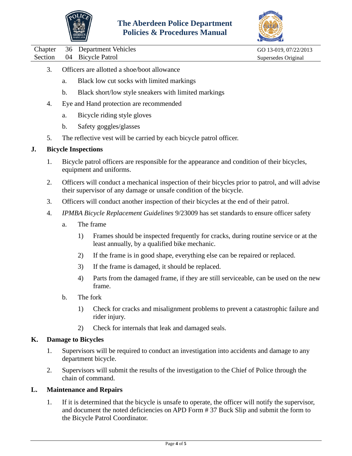



Chapter 36 Department Vehicles GO 13-019, 07/22/2013

Section 04 Bicycle Patrol Supersedes Original

- 3. Officers are allotted a shoe/boot allowance
	- a. Black low cut socks with limited markings
	- b. Black short/low style sneakers with limited markings
- 4. Eye and Hand protection are recommended
	- a. Bicycle riding style gloves
	- b. Safety goggles/glasses
- 5. The reflective vest will be carried by each bicycle patrol officer.

#### **J. Bicycle Inspections**

- 1. Bicycle patrol officers are responsible for the appearance and condition of their bicycles, equipment and uniforms.
- 2. Officers will conduct a mechanical inspection of their bicycles prior to patrol, and will advise their supervisor of any damage or unsafe condition of the bicycle.
- 3. Officers will conduct another inspection of their bicycles at the end of their patrol.
- 4. *IPMBA Bicycle Replacement Guidelines* 9/23009 has set standards to ensure officer safety
	- a. The frame
		- 1) Frames should be inspected frequently for cracks, during routine service or at the least annually, by a qualified bike mechanic.
		- 2) If the frame is in good shape, everything else can be repaired or replaced.
		- 3) If the frame is damaged, it should be replaced.
		- 4) Parts from the damaged frame, if they are still serviceable, can be used on the new frame.
	- b. The fork
		- 1) Check for cracks and misalignment problems to prevent a catastrophic failure and rider injury.
		- 2) Check for internals that leak and damaged seals.

#### **K. Damage to Bicycles**

- 1. Supervisors will be required to conduct an investigation into accidents and damage to any department bicycle.
- 2. Supervisors will submit the results of the investigation to the Chief of Police through the chain of command.

#### **L. Maintenance and Repairs**

1. If it is determined that the bicycle is unsafe to operate, the officer will notify the supervisor, and document the noted deficiencies on APD Form # 37 Buck Slip and submit the form to the Bicycle Patrol Coordinator.